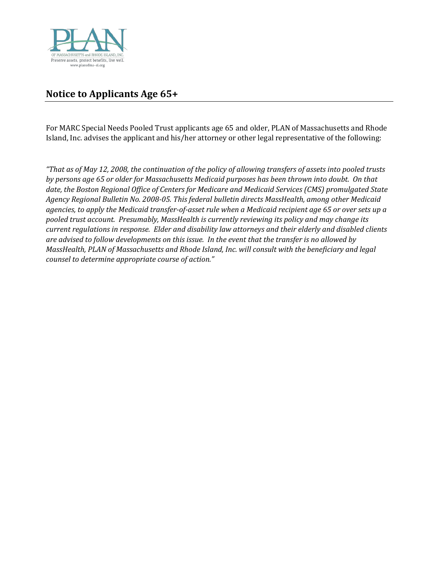

## **Notice to Applicants Age 65+**

For MARC Special Needs Pooled Trust applicants age 65 and older, PLAN of Massachusetts and Rhode Island, Inc. advises the applicant and his/her attorney or other legal representative of the following:

*"That as of May 12, 2008, the continuation of the policy of allowing transfers of assets into pooled trusts by persons age 65 or older for Massachusetts Medicaid purposes has been thrown into doubt. On that date, the Boston Regional Office of Centers for Medicare and Medicaid Services (CMS) promulgated State Agency Regional Bulletin No. 2008-05. This federal bulletin directs MassHealth, among other Medicaid agencies, to apply the Medicaid transfer-of-asset rule when a Medicaid recipient age 65 or over sets up a pooled trust account. Presumably, MassHealth is currently reviewing its policy and may change its current regulations in response. Elder and disability law attorneys and their elderly and disabled clients are advised to follow developments on this issue. In the event that the transfer is no allowed by MassHealth, PLAN of Massachusetts and Rhode Island, Inc. will consult with the beneficiary and legal counsel to determine appropriate course of action."*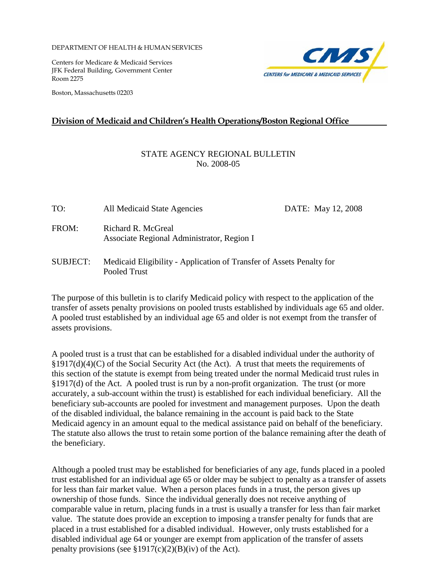DEPARTMENT OF HEALTH & HUMAN SERVICES

Pooled Trust

Centers for Medicare & Medicaid Services JFK Federal Building, Government Center Room 2275

Boston, Massachusetts 02203



## **Division of Medicaid and Children's Health Operations/Boston Regional Office**

## STATE AGENCY REGIONAL BULLETIN No. 2008-05

| TO:             | All Medicaid State Agencies                                          | DATE: May 12, 2008 |
|-----------------|----------------------------------------------------------------------|--------------------|
| FROM:           | Richard R. McGreal<br>Associate Regional Administrator, Region I     |                    |
| <b>SUBJECT:</b> | Medicaid Eligibility - Application of Transfer of Assets Penalty for |                    |

The purpose of this bulletin is to clarify Medicaid policy with respect to the application of the transfer of assets penalty provisions on pooled trusts established by individuals age 65 and older. A pooled trust established by an individual age 65 and older is not exempt from the transfer of assets provisions.

A pooled trust is a trust that can be established for a disabled individual under the authority of §1917(d)(4)(C) of the Social Security Act (the Act). A trust that meets the requirements of this section of the statute is exempt from being treated under the normal Medicaid trust rules in §1917(d) of the Act. A pooled trust is run by a non-profit organization. The trust (or more accurately, a sub-account within the trust) is established for each individual beneficiary. All the beneficiary sub-accounts are pooled for investment and management purposes. Upon the death of the disabled individual, the balance remaining in the account is paid back to the State Medicaid agency in an amount equal to the medical assistance paid on behalf of the beneficiary. The statute also allows the trust to retain some portion of the balance remaining after the death of the beneficiary.

Although a pooled trust may be established for beneficiaries of any age, funds placed in a pooled trust established for an individual age 65 or older may be subject to penalty as a transfer of assets for less than fair market value. When a person places funds in a trust, the person gives up ownership of those funds. Since the individual generally does not receive anything of comparable value in return, placing funds in a trust is usually a transfer for less than fair market value. The statute does provide an exception to imposing a transfer penalty for funds that are placed in a trust established for a disabled individual. However, only trusts established for a disabled individual age 64 or younger are exempt from application of the transfer of assets penalty provisions (see  $$1917(c)(2)(B)(iv)$  of the Act).